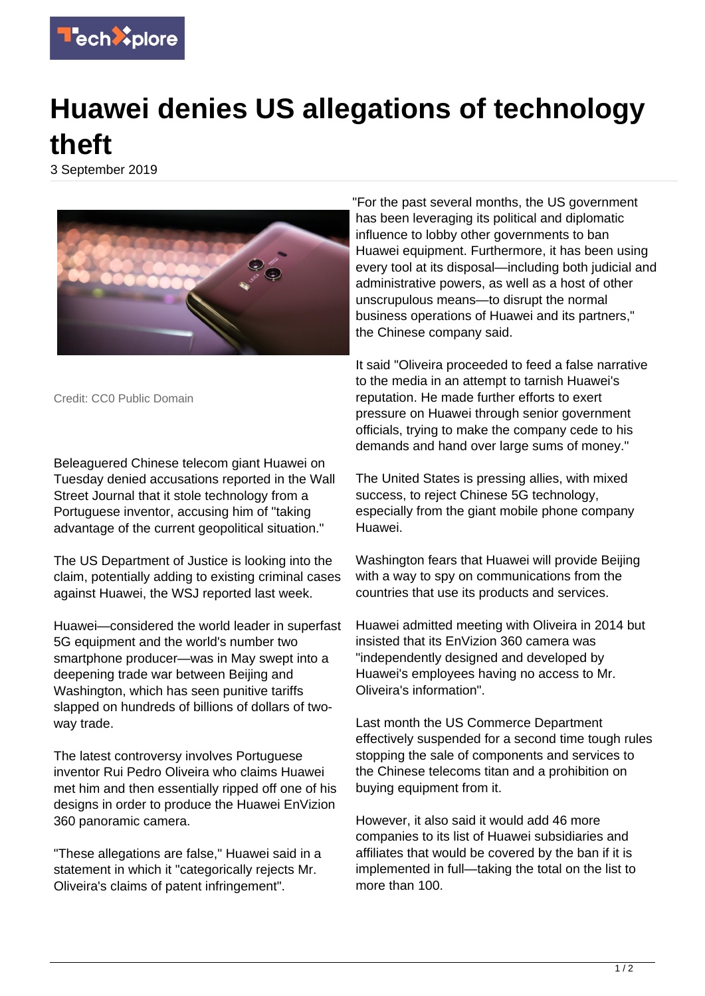

## **Huawei denies US allegations of technology theft**

3 September 2019



Credit: CC0 Public Domain

Beleaguered Chinese telecom giant Huawei on Tuesday denied accusations reported in the Wall Street Journal that it stole technology from a Portuguese inventor, accusing him of "taking advantage of the current geopolitical situation."

The US Department of Justice is looking into the claim, potentially adding to existing criminal cases against Huawei, the WSJ reported last week.

Huawei—considered the world leader in superfast 5G equipment and the world's number two smartphone producer—was in May swept into a deepening trade war between Beijing and Washington, which has seen punitive tariffs slapped on hundreds of billions of dollars of twoway trade.

The latest controversy involves Portuguese inventor Rui Pedro Oliveira who claims Huawei met him and then essentially ripped off one of his designs in order to produce the Huawei EnVizion 360 panoramic camera.

"These allegations are false," Huawei said in a statement in which it "categorically rejects Mr. Oliveira's claims of patent infringement".

"For the past several months, the US government has been leveraging its political and diplomatic influence to lobby other governments to ban Huawei equipment. Furthermore, it has been using every tool at its disposal—including both judicial and administrative powers, as well as a host of other unscrupulous means—to disrupt the normal business operations of Huawei and its partners," the Chinese company said.

It said "Oliveira proceeded to feed a false narrative to the media in an attempt to tarnish Huawei's reputation. He made further efforts to exert pressure on Huawei through senior government officials, trying to make the company cede to his demands and hand over large sums of money."

The United States is pressing allies, with mixed success, to reject Chinese 5G technology, especially from the giant mobile phone company Huawei.

Washington fears that Huawei will provide Beijing with a way to spy on communications from the countries that use its products and services.

Huawei admitted meeting with Oliveira in 2014 but insisted that its EnVizion 360 camera was "independently designed and developed by Huawei's employees having no access to Mr. Oliveira's information".

Last month the US Commerce Department effectively suspended for a second time tough rules stopping the sale of components and services to the Chinese telecoms titan and a prohibition on buying equipment from it.

However, it also said it would add 46 more companies to its list of Huawei subsidiaries and affiliates that would be covered by the ban if it is implemented in full—taking the total on the list to more than 100.